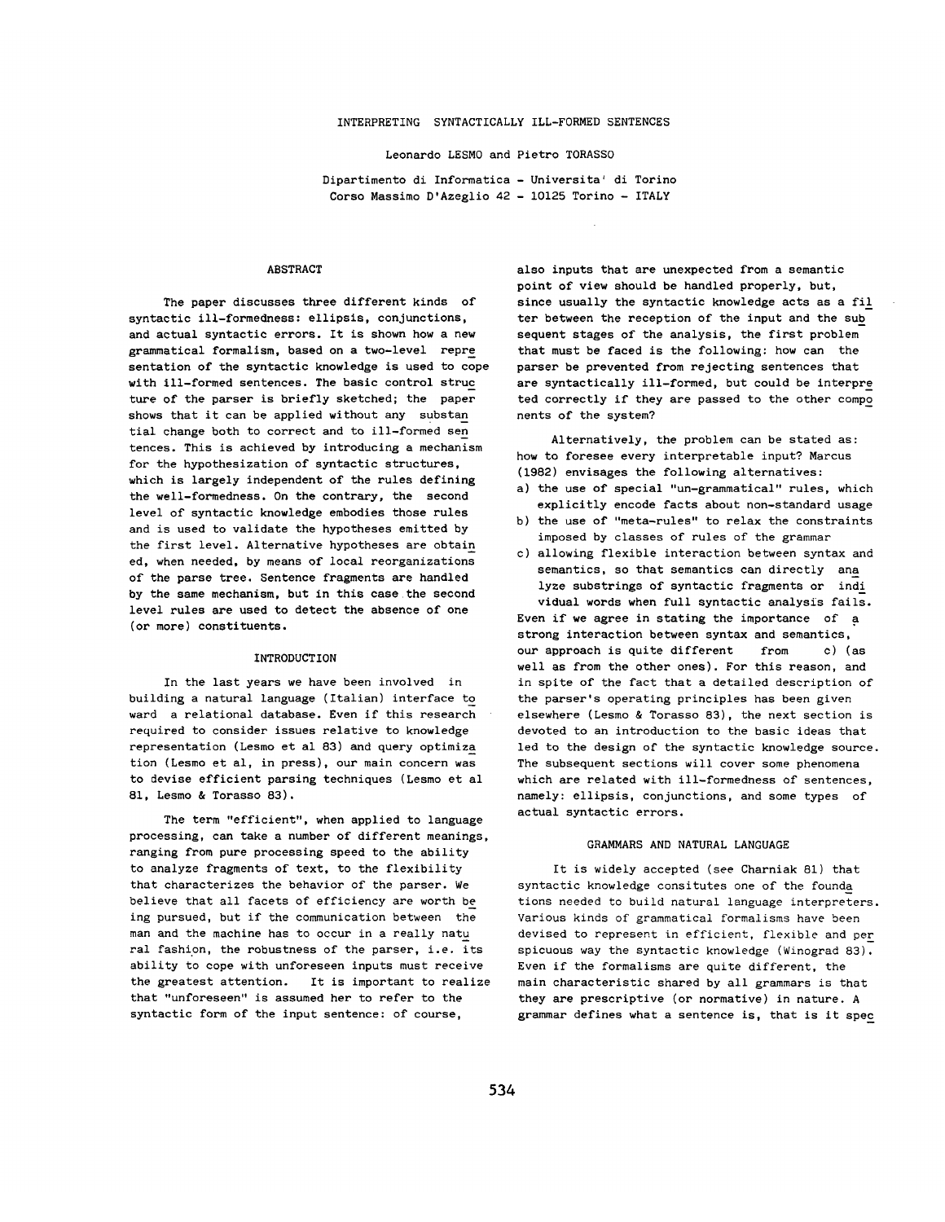### INTERPRETING SYNTACTICALLY ILL-FORMED SENTENCES

Leonardo LESMO and Pietro TORASSO

Dipartimento di Informatica - Universita' di Torino Corso Massimo D'Azeglio 42 - 10125 Torino - ITALY

### ABSTRACT

The paper discusses three different kinds of syntactic ill-formedness: ellipsis, conjunctions, and actual syntactic errors. It is shown how a new grammatical formalism, based on a two-level repre sentation of the syntactic knowledge is used to cope with Ill-formed sentences. The basic control struc ture of the parser is briefly sketched; the paper shows that it can be applied without any substan tial change both to correct and to ill-formed sen tences. This is achieved by introducing a mechanism for the hypothesization of syntactic structures, which is largely independent of the rules defining the well-formedness. On the contrary, the second level of syntactic knowledge embodies those rules and is used to validate the hypotheses emitted by the first level. Alternative hypotheses are obtain ed, when needed, by means of local reorganizations of the parse tree. Sentence fragments are handled by the same mechanism, but in this case the second level rules are used to detect the absence of one (or more) constituents.

#### INTRODUCTION

In the last years we have been involved in building a natural language (Italian) interface to ward a relational database. Even if this research required to consider issues relative to knowledge representation (Lesmo et al 83) and query optimiza tion (Lesmo et al, in press), our main concern was to devise efficient parsing techniques (Lesmo et al 81, Lesmo & Torasso 83).

The term "efficient", when applied to language processing, can take a number of different meanings, ranging from pure processing speed to the ability to analyze fragments of text, to the flexibility that characterizes the behavior of the parser. We believe that all facets of efficiency are worth be ing pursued, but if the communication between the man and the machine has to occur in a really natu ral fashion, the robustness of the parser, i.e. its ability to cope with unforeseen inputs must receive the greatest attention. It is important to realize that "unforeseen" is assumed her to refer to the syntactic form of the input sentence: of course,

also inputs that are unexpected from a semantic point of view should be handled properly, but, since usually the syntactic knowledge acts as a fil ter between the reception of the input and the sub sequent stages of the analysis, the first problem that must be faced is the following: how can the parser be prevented from rejecting sentences that are syntactically ill-formed, but could be interpre ted correctly if they are passed to the other compo nents of the system?

Alternatively, the problem can be stated as: how to foresee every interpretable input? Marcus (1982) envisages the following alternatives:

- a) the use of special "un-grammatical" rules, which explicitly encode facts about non-standard usage
- b) the use of "meta-rules" to relax the constraints imposed by classes of rules of the grammar
- c) allowing flexible interaction between syntax and semantics, so that semantics can directly ana lyze substrings of syntactic fragments or indi vidual words when full syntactic analysis fails. Even if we agree in stating the importance of a strong interaction between syntax and semantics, our approach is quite different from c) (as well as from the other ones). For this reason, and in spite of the fact that a detailed description of the parser's operating principles has been given elsewhere (Lesmo & Torasso 83), the next section is devoted to an introduction to the basic ideas that led to the design of the syntactic knowledge source. The subsequent sections will cover some phenomena which are related with ill-formedness of sentences, namely: ellipsis, conjunctions, and some types of actual syntactic errors.

### GRAMMARS AND NATURAL LANGUAGE

It is widely accepted (see Charniak 81) that syntactic knowledge consitutes one of the founda tions needed to build natural language interpreters. Various kinds of grammatical formalisms have been devised to represent in efficient, flexible and per spicuous way the syntactic knowledge (Winograd 83). Even if the formalisms are quite different, the main characteristic shared by all grammars is that they are prescriptive (or normative) in nature. A grammar defines what a sentence is, that is it spec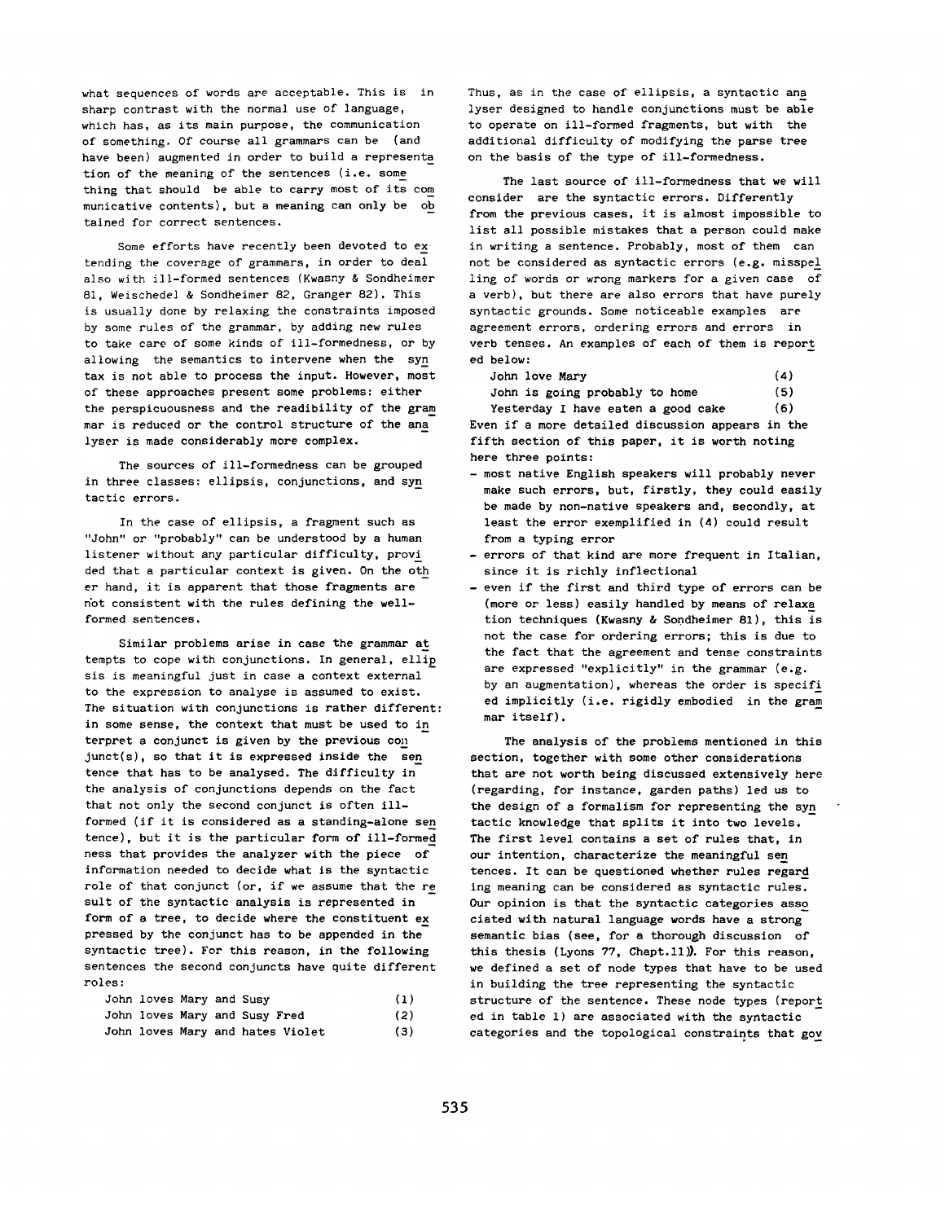what sequences of words are acceptable. This is in sharp contrast with the normal use of language, which has, as its main purpose, the communication of something. Of course all grammars can be (and have been) *augmented* in order to build a representa tion of the meaning of the sentences (i.e. some thing that should be able to carry most of its com municative contents), but a meaning can only be ob tained for correct sentences.

Some efforts have recently been devoted to ex tending the coverage of grammars, in order to deal also with ill-formed sentences (Kwasny & Sondheimer 81, Weischedel & Sondheimer 82, Granger 82). This is usually done by relaxing the constraints imposed by some rules of the grammar, by adding new rules to take care of some kinds of ill-formedness, or by allowing the semantics to intervene when the syn tax is not able to process the input. However, most of these approaches present some problems: either the perspicuousness and the readibility of the gram mar is reduced or the control structure of the ana lyser is made considerably more complex.

The sources of ill-formedness can be grouped in three classes: ellipsis, conjunctions, and syn tactic errors.

In the case of ellipsis, a fragment such as "John" or "probably" can be understood by a human listener without any particular difficulty, provi ded that a particular context is given. On the oth er hand, it is apparent that those fragments are not consistent with the rules defining the wellformed sentences.

Similar problems arise in case the grammar at tempts to cope with conjunctions. In general, ellip sis is meaningful just in case a context external to the expression to analyse is assumed to exist. The situation with conjunctions is rather different: in some sense, the context that must be used to in terpret a conjunct is given by the previous con junet(s), so that it is expressed inside the sen tence that has to be analysed. The difficulty in the analysis of conjunctions depends on the fact that not only the second conjunct is often illformed (if it is considered as a standing-alone sen tence), but it is the particular form of ill-formed hess that provides the analyzer with the piece of information needed to decide what is the syntactic role of that conjunct (or, if we assume that the re sult of the syntactic analysis is represented in form of a tree, to decide where the constituent ex pressed by the conjunct has to be appended in the syntactic tree). For this reason, in the following sentences the second conjuncts have quite different roles:

| John loves Mary and Susy |  |                                  | (1) |
|--------------------------|--|----------------------------------|-----|
|                          |  | John loves Mary and Susy Fred    | (2) |
|                          |  | John loves Mary and hates Violet | (3) |

Thus, as in the case of ellipsis, a syntactic ana lyser designed to handle conjunctions must be able to operate on ill-formed fragments, but with the additional difficulty of modifying the parse tree on the basis of the type of ill-formedness.

The last source of ill-formedness that we will consider are the syntactic errors. Differently from the previous cases, it is almost impossible to list all possible mistakes that a person could make in writing a sentence. Probably, most of them can not be considered as syntactic errors (e.g. misspel ling of words or wrong markers for a given case of a verb), but there are also errors that have purely syntactic grounds. Some noticeable examples are agreement errors, ordering errors and errors in verb tenses. An examples of each of them is report ed below:

John love Mary (4) John is going probably to home (5)

Yesterday I have eaten a good cake (6) Even if a more detailed discussion appears in the fifth section of this paper, it is worth noting here three points:

- most native English speakers will probably never make such errors, but, firstly, they could easily be made by non-native speakers and, secondly, at least the error exemplified in (4) could result from a typing error
- errors of that kind are more frequent in Italian, since it is richly inflectional
- even if the first and third type of errors can be (more or less) easily handled by means of relaxa **tion** techniques (Kwasny & Sondheimer 81), this is not the case for ordering errors; this is due to the fact that the agreement and tense constraints are expressed "explicitly" in the grammar (e.g. by an augmentation), whereas the order is specifi ed implicitly (i.e. rigidly embodied in the gram mar itself).

The analysis of the problems mentioned in this section, together with some other considerations that are not worth being discussed extensively here (regarding, for instance, garden paths) led us to the design of a formalism for representing the syn tactic knowledge that splits it into two levels. The first level contains a set of rules that, in our intention, characterize the meaningful sen fences. It can be questioned whether rules regard ing meaning can be considered as syntactic rules. Our opinion is that the syntactic categories asso ciated with natural language words have a strong semantic bias (see, for a thorough discussion of this thesis (Lyons  $77$ , Chapt.11)). For this reason, we defined a set of node types that have to be used in building the tree representing the syntactic structure of the sentence. These node types (report ed in table l) are associated with the syntactic categories and the topological constraints that gov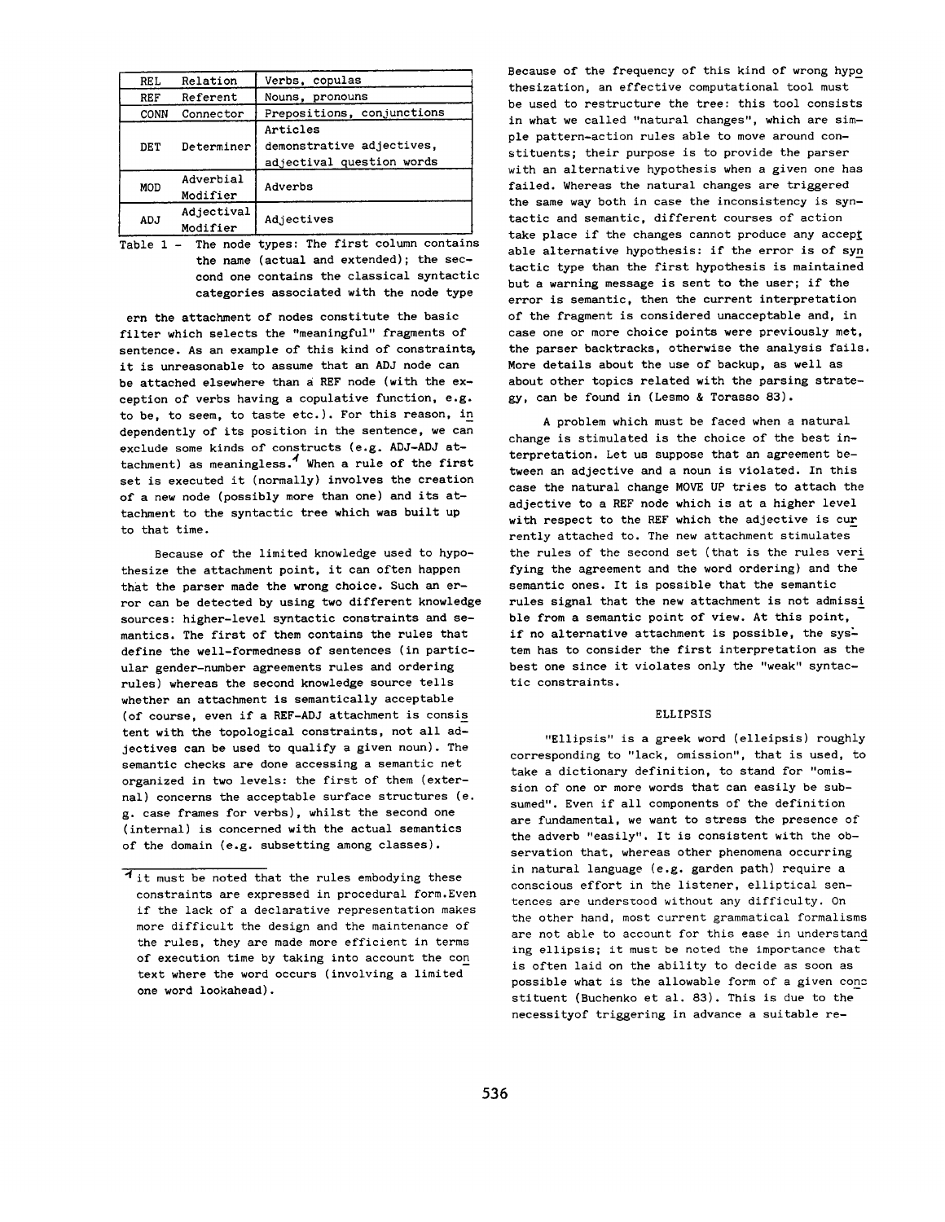| REL  | Relation               | Verbs, copulas                                                     |
|------|------------------------|--------------------------------------------------------------------|
| REF  | Referent               | Nouns, pronouns                                                    |
| CONN | Connector              | Prepositions, conjunctions                                         |
| DET  | Determiner             | Articles<br>demonstrative adjectives,<br>adjectival question words |
| MOD  | Adverbial<br>Modifier  | Adverbs                                                            |
| ADJ  | Adjectival<br>Modifier | Adjectives                                                         |

Table 1 - The node types: The first column contains the name (actual and extended); the secoond one contains the classical syntactic categories associated with the node type

ern the attachment of nodes constitute the basic filter which selects the "meaningful" fragments of sentence. As an example of this kind of constraints, it is unreasonable to assume that an ADJ node can be attached elsewhere than a REF node (with the exception of verbs having a copulative function, e.g. to be, to seem, to taste etc.). For this reason, in dependently of its position in the sentence, we can exclude some kinds of constructs (e.g. ADJ-ADJ attachment) as meaningless.<sup>4</sup> When a rule of the first set is executed it (normally) involves the creation of a new node (possibly more than one) and its attachment to the syntactic tree which was built up to that time.

Because of the limited knowledge used to hypothesize the attachment point, it can often happen that the parser made the wrong choice. Such an error can be detected by using two different knowledge sources: higher-level syntactic constraints and semantics. The first of them contains the rules that define the well-formedness of sentences (in particular gender-number agreements rules and ordering rules) whereas the second knowledge source tells whether an attachment is semantically acceptable (of course, even if a REF-ADJ attachment is consis tent with the topological constraints, not all adjectives can be used to qualify a given noun). The semantic checks are done accessing a semantic net organized in two levels: the first of them (external) concerns the acceptable surface structures (e. g. case frames for verbs), whilst the second one (internal) is concerned with the actual semantics of the domain (e.g. subsetting among classes).

Because of the frequency of this kind of wrong hypo thesization, an effective computational tool must be used to restructure the tree: this tool consists in what we called "natural changes", which are simple pattern-action rules able to move around constituents; their purpose is to provide the parser with an alternative hypothesis when a given one has failed. Whereas the natural changes are triggered the same way both in case the inconsistency is syntactic and semantic, different courses of action take place if the changes cannot produce any accept able alternative hypothesis: if the error is of syn tactic type than the first hypothesis is maintained but a warning message is sent to the user; if the error is semantic, then the current interpretation of the fragment is considered unacceptable and, in case one or more choice points were previously met, the parser backtracks, otherwise the analysis fails. More details about the use of backup, as well as about other topics related with the parsing strategy, can be found in (Lesmo & Torasso 83).

A problem which must be faced when a natural change is stimulated is the choice of the best interpretation. Let us suppose that an agreement between an adjective and a noun is violated. In this case *the* natural change MOVE UP tries to attach the adjective to a REF node which is at a higher level with respect to the REF which the adjective is cur **rently** attached to. The new attachment stimulates the rules of the second set (that is the rules veri **lying** the agreement and the word ordering) and the semantic ones. It is possible that the semantic rules signal that the new attachment is not admissi **ble** from a semantic point of view. At this point, if no alternative attachment is possible, the system has to consider the first interpretation as the best one since it violates only the "weak" syntactic constraints.

## ELLIPSIS

"Ellipsis" is a greek word (elleipsis) roughly corresponding to "lack, omission", that is used, to take a dictionary definition, to stand for "omission of one or more words that can easily be subsumed". Even if all components of the definition are fundamental, we want to stress the presence of the adverb "easily". It is consistent with the observation that, whereas other phenomena occurring in natural language (e.g. garden path) require a conscious effort in the listener, elliptical sentences are understood without any difficulty. On the other hand, most current grammatical formalisms are not able to account for this ease in understand **ing** ellipsis; it must be noted the importance that is often laid on the ability to decide as soon as possible what is the allowable form of a given conz **stituent** (Buchenko et al. 83). This is due to the necessityof triggering in advance a suitable re-

**<sup>4</sup>** it must be noted that the rules embodying these constraints are expressed in procedural form. Even if the lack of a declarative representation makes more difficult the design and the maintenance of the rules, they are made more efficient in terms of execution time by taking into account the con **text** where the word occurs (involving a limited one word lookahead).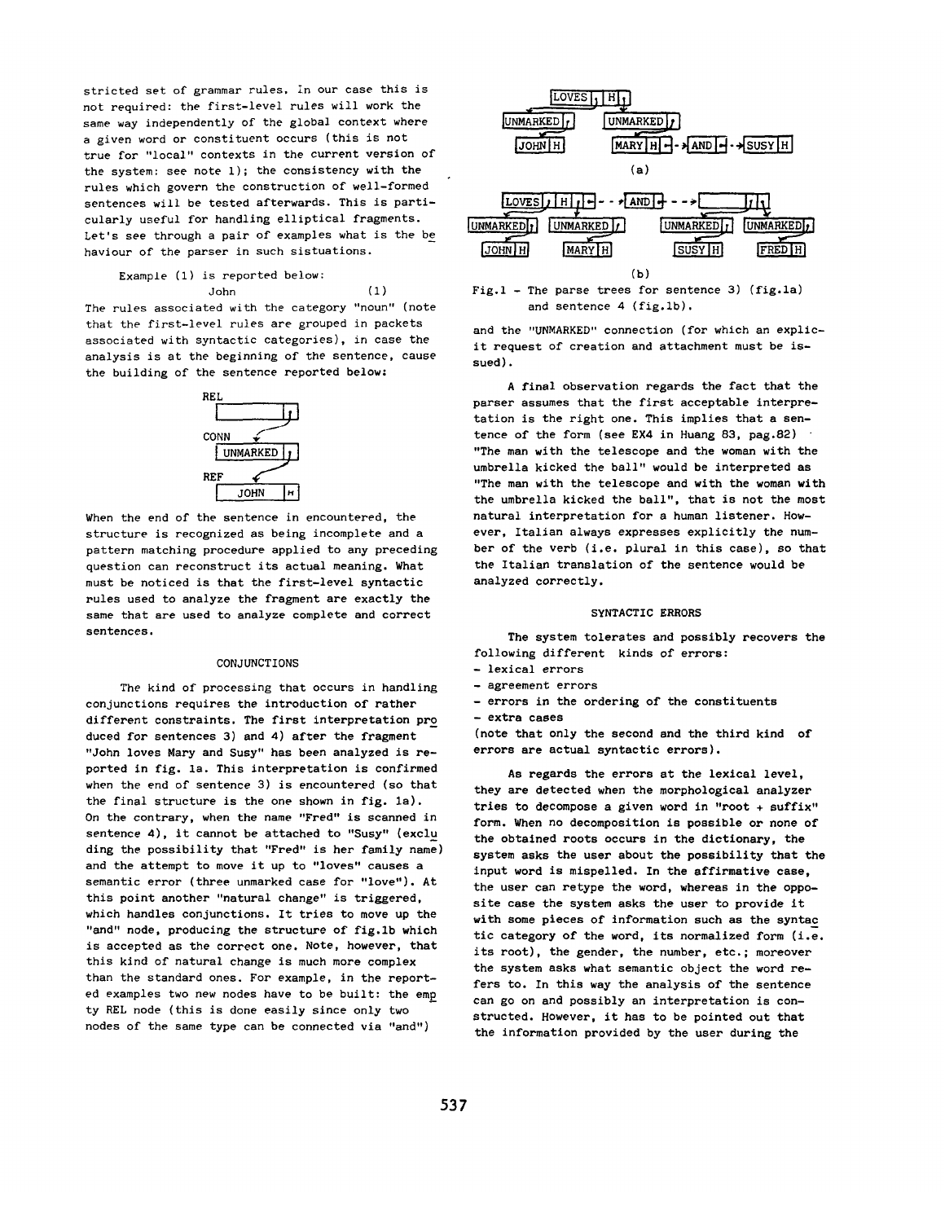stricted set of grammar rules, in our case this is not required: the first-level rules will work the same way independently of the global context where a given word or constituent occurs (this is not true for "local" contexts in the current version of the system: see note i); the consistency with the rules which govern the construction of well-formed sentences will be tested afterwards. This is particularly useful for handling elliptical fragments. Let's see through a pair of examples what is the be haviour of the parser in such sistuations.

Example (i) is reported below: John (i)

The rules associated with the category "noun" (note that the first-level rules are grouped in packets associated with syntactic categories), in case the analysis is at the beginning of the sentence, cause the building of the sentence reported below:



When the end of the sentence in encountered, the structure is recognized as being incomplete and a pattern matching procedure applied to any preceding question can reconstruct its actual meaning. What must be noticed is that the first-level syntactic rules used to analyze the fragment are exactly the same that are used to analyze complete and correct sentences.

### CONJUNCTIONS

The kind of processing that occurs in handling conjunctions requires the introduction of rather different constraints. The first interpretation pro duced for sentences 3) and 4) after the fragment "John loves Mary and Susy" has been analyzed is reported in fig. is. This interpretation is confirmed when the end of sentence 3) is encountered (so that the final structure is the one shown in fig. la). On the contrary, when the name "Fred" is scanned in sentence 4), it cannot be attached to "Susy" (exclu ding the possibility that "Fred" is her family name) and the attempt to move it up to "loves" causes a semantic error (three unmarked case for "love"). At this point another "natural change" is triggered, which handles conjunctions. It tries to move up the "and" node, producing the structure of fig.1b which is accepted as the correct one. Note, however, that this kind of natural change is much more complex than the standard ones. For example, in the reported examples two new nodes have to be built: the emp ty REL node (this is done easily since only two nodes of the same type can be connected via "and")





and the "UNMARKED" connection (for which an explicit request of creation and attachment must be issued).

A final observation regards the fact that the parser assumes that the first acceptable interpretation is the right one. This implies that a sentence of the form (see EX4 in Huang 83, pag.82) "The man with the telescope and the woman with the umbrella kicked the ball" would be interpreted as "The man with the telescope and with the woman with the umbrella kicked the ball", that is not the most natural interpretation for a human listener. However, Italian always expresses explicitly the number of the verb (i.e. plural in this case), so that the Italian translation of the sentence would be analyzed correctly.

### SYNTACTIC *ERRORS*

The system tolerates and possibly recovers the following different kinds of errors:

- lexical errors
- agreement errors
- errors in the ordering of the constituents *- extra* cases

(note that only the second and the third kind of errors are actual syntactic errors).

As regards the errors at the lexical level, they are detected when the morphological analyzer tries to decompose a given word in "root + suffix" form. When no decomposition is posslble or none of the obtained roots occurs in the dictionary, the system asks the user about the possibility that the input word is mispelled. In the affirmative case, the user can retype the word, whereas in the opposite case the system asks the user to provide it with some pieces of information such as the syntac tic category of the word, its normalized form (i.e. its root), the gender, the number, etc.; moreover the system asks what semantic object the word refers to. In this way the analysis of the sentence can go on and possibly an interpretation is constructed. However, it has to be pointed out that the information provided by the user during the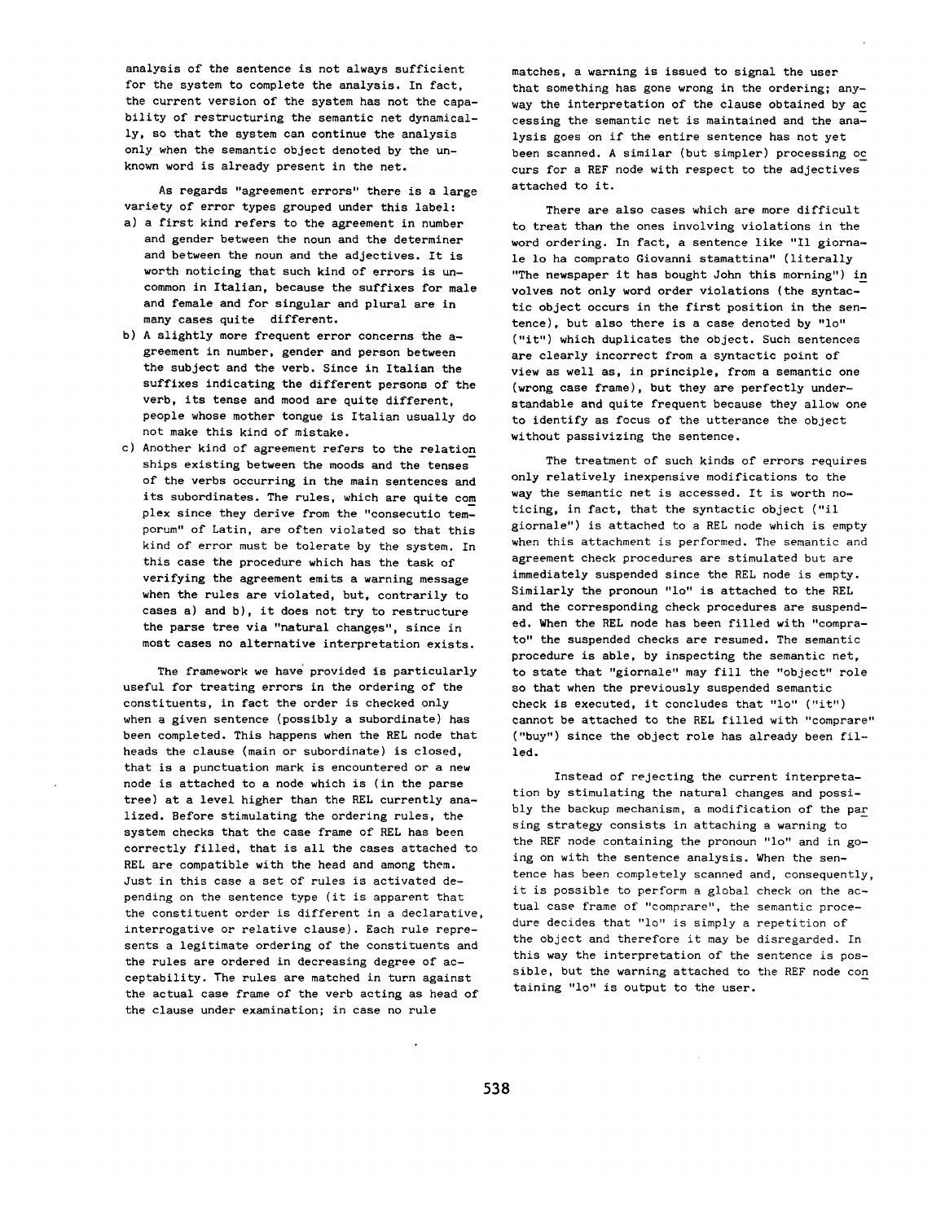analysis of the sentence is not always sufficient for the system to complete the analysis. In fact, the current version of the system has not the capability of restructuring the semantic net dynamically, so that the system can continue the analysis only when the semantic object denoted by the unknown word is already present in the net.

As regards "agreement errors" there is a large variety of error types grouped under this label:

- a) a first kind refers to the agreement in number and gender between the noun and the determiner and between the noun and the adjectives. It is worth noticing that such kind of errors is uncommon in Italian, because the suffixes for male and female and for singular and plural are in many cases quite different.
- b) A slightly more frequent error concerns the agreement in number, gender and person between the subject and the verb. Since in Italian the suffixes indicating the different persons of the verb, its tense and mood are quite different, people whose mother tongue is Italian usually do not make this kind of mistake.
- c) Another kind of agreement refers to the relation ships existing between the moods and the tenses of the verbs occurring in the main sentences and its subordinates. The rules, which are quite com plex since they derive from the "consecutio temporum" of Latin, are often violated so that this kind of error must be tolerate by the system. In this case the procedure which has the task of verifying the agreement emits a warning message when the rules are violated, but, contrarily to cases a) and b), it does not try to restructure the parse tree via "natural changes", since in most cases no alternative interpretation exists.

The framework we have provided is particularly useful for treating errors in the ordering of the constituents, in fact the order is checked only when a given sentence (possibly a subordinate) has been completed. This happens when the REL node that heads the clause (main or subordinate) is closed, that is a punctuation mark is encountered or a new node is attached to a node which is (in the parse tree) at a level higher than the REL currently *ana*lized. Before stimulating the ordering rules, the system checks that the case frame of REL has been correctly filled, that is all the cases attached to REL are compatible with the head and among them. Just in this case a set of rules is activated depending on the sentence type (it is apparent that the constituent order is different in a declarative, interrogative or relative clause). Each rule represents a legitimate ordering of the constituents and the rules are ordered in decreasing degree of acceptability. The rules are matched in turn against the actual case frame of the verb acting as head of the clause under examination; in case no rule

matches, a warning is issued to signal the user that something has gone wrong in the ordering; anyway the interpretation of the clause obtained by ac cessing the semantic net is maintained and the *ana*lysis goes on if the entire sentence has not yet been scanned. A similar (but simpler) processing oc curs for a REF node with respect to the adjectives attached to it.

There are also cases which are more difficult to treat than the ones involving violations in the word ordering. In fact, a sentence like "Ii giornale Io ha comprato Giovanni stamattina" (literally "The newspaper it has bought John this morning") in volves not only word order violations (the syntactic object occurs in the first position in the sentence), but also there is a case denoted by "lo" ("it") which duplicates the object. Such sentences are clearly incorrect from a syntactic point of view as well as, in principle, from a semantic one (wrong case frame), but they are perfectly understandable and quite frequent because they allow one to identify as focus of the utterance the object without passivizing the sentence.

The treatment of such kinds of errors requires only relatively inexpensive modifications to the way the semantic net is accessed. It is worth noticing, in fact, that the syntactic object ("il giornale") is attached to a REL node which is empty when this attachment is performed. The semantic and agreement check procedures are stimulated but are immediately suspended since the REL node is empty. Similarly the pronoun "lo" is attached to the REL and the corresponding check procedures are suspended. When the REL node has been filled with "comprato" the suspended checks are resumed. The semantic procedure is able, by inspecting the semantic net, to state that "giornale" may fill the "object" role so that when the previously suspended semantic check is executed, it concludes that "lo" ("it") cannot be attached to the REL filled with "comprare" ("buy") since the object role has already been filled.

Instead of rejecting the current interpretation by stimulating the natural changes and possibly the backup mechanism, a modification of the par sing strategy consists in attaching a warning to the REF node containing the pronoun "lo" and in going on with the sentence analysis. When the sentence has been completely scanned and, consequently, it is possible to perform a global check on the actual case frame of "comprare", the semantic procedure decides that "lo" is simply a repetition of the object and therefore it may be disregarded. In this way the interpretation of the sentence is possible, but the warning attached to the REF node con taining "io" is output to the user.